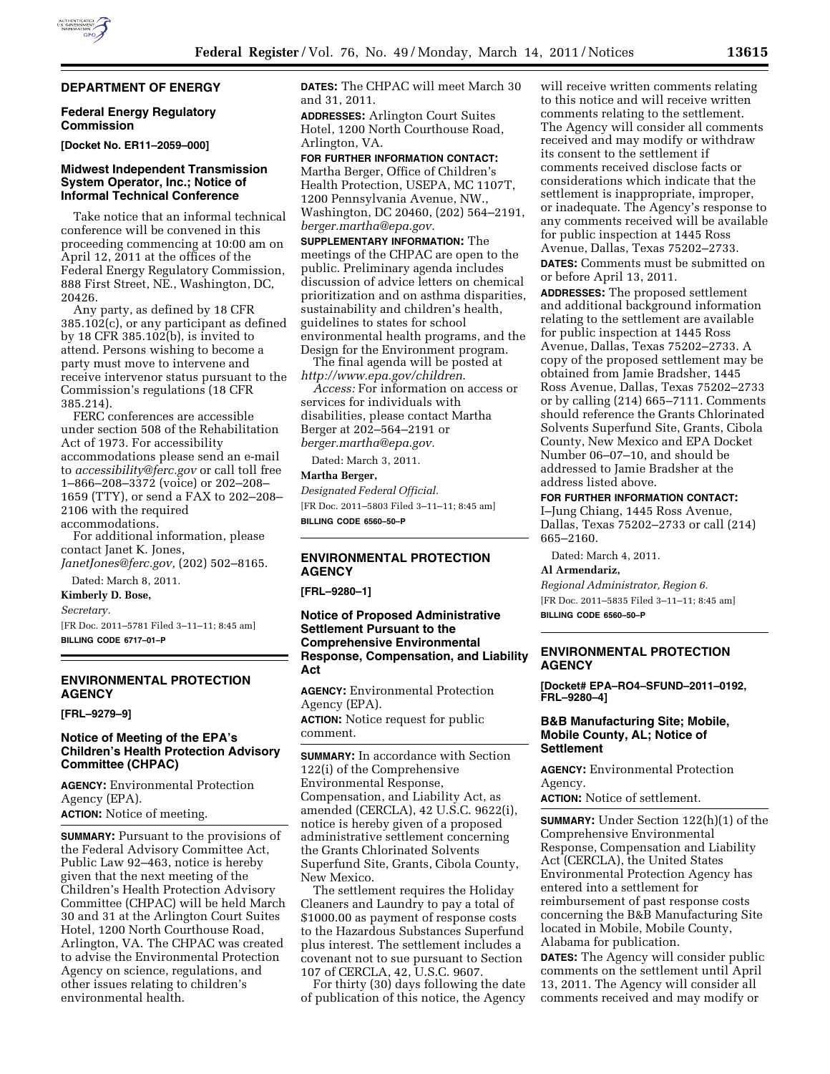# **DEPARTMENT OF ENERGY**

## **Federal Energy Regulatory Commission**

**[Docket No. ER11–2059–000]** 

### **Midwest Independent Transmission System Operator, Inc.; Notice of Informal Technical Conference**

Take notice that an informal technical conference will be convened in this proceeding commencing at 10:00 am on April 12, 2011 at the offices of the Federal Energy Regulatory Commission, 888 First Street, NE., Washington, DC, 20426.

Any party, as defined by 18 CFR 385.102(c), or any participant as defined by 18 CFR 385.102(b), is invited to attend. Persons wishing to become a party must move to intervene and receive intervenor status pursuant to the Commission's regulations (18 CFR 385.214).

FERC conferences are accessible under section 508 of the Rehabilitation Act of 1973. For accessibility accommodations please send an e-mail to *[accessibility@ferc.gov](mailto:accessibility@ferc.gov)* or call toll free 1–866–208–3372 (voice) or 202–208– 1659 (TTY), or send a FAX to 202–208– 2106 with the required accommodations.

For additional information, please contact Janet K. Jones,

*[JanetJones@ferc.gov,](mailto:JanetJones@ferc.gov)* (202) 502–8165. Dated: March 8, 2011.

**Kimberly D. Bose,** 

*Secretary.* 

[FR Doc. 2011–5781 Filed 3–11–11; 8:45 am] **BILLING CODE 6717–01–P** 

# **ENVIRONMENTAL PROTECTION AGENCY**

**[FRL–9279–9]** 

## **Notice of Meeting of the EPA's Children's Health Protection Advisory Committee (CHPAC)**

**AGENCY:** Environmental Protection Agency (EPA). **ACTION:** Notice of meeting.

**SUMMARY:** Pursuant to the provisions of the Federal Advisory Committee Act, Public Law 92–463, notice is hereby given that the next meeting of the Children's Health Protection Advisory Committee (CHPAC) will be held March 30 and 31 at the Arlington Court Suites Hotel, 1200 North Courthouse Road, Arlington, VA. The CHPAC was created to advise the Environmental Protection Agency on science, regulations, and other issues relating to children's environmental health.

**DATES:** The CHPAC will meet March 30 and 31, 2011.

**ADDRESSES:** Arlington Court Suites Hotel, 1200 North Courthouse Road, Arlington, VA.

**FOR FURTHER INFORMATION CONTACT:**  Martha Berger, Office of Children's Health Protection, USEPA, MC 1107T, 1200 Pennsylvania Avenue, NW., Washington, DC 20460, (202) 564–2191, *[berger.martha@epa.gov.](mailto:berger.martha@epa.gov)* 

**SUPPLEMENTARY INFORMATION:** The meetings of the CHPAC are open to the public. Preliminary agenda includes discussion of advice letters on chemical prioritization and on asthma disparities, sustainability and children's health, guidelines to states for school environmental health programs, and the Design for the Environment program.

The final agenda will be posted at *<http://www.epa.gov/children>*.

*Access:* For information on access or services for individuals with disabilities, please contact Martha Berger at 202–564–2191 or *[berger.martha@epa.gov.](mailto:berger.martha@epa.gov)* 

Dated: March 3, 2011.

#### **Martha Berger,**

*Designated Federal Official.*  [FR Doc. 2011–5803 Filed 3–11–11; 8:45 am] **BILLING CODE 6560–50–P** 

# **ENVIRONMENTAL PROTECTION AGENCY**

**[FRL–9280–1]** 

# **Notice of Proposed Administrative Settlement Pursuant to the Comprehensive Environmental Response, Compensation, and Liability Act**

**AGENCY:** Environmental Protection Agency (EPA).

**ACTION:** Notice request for public comment.

**SUMMARY:** In accordance with Section 122(i) of the Comprehensive Environmental Response, Compensation, and Liability Act, as amended (CERCLA), 42 U.S.C. 9622(i), notice is hereby given of a proposed administrative settlement concerning the Grants Chlorinated Solvents Superfund Site, Grants, Cibola County, New Mexico.

The settlement requires the Holiday Cleaners and Laundry to pay a total of \$1000.00 as payment of response costs to the Hazardous Substances Superfund plus interest. The settlement includes a covenant not to sue pursuant to Section 107 of CERCLA, 42, U.S.C. 9607.

For thirty (30) days following the date of publication of this notice, the Agency

will receive written comments relating to this notice and will receive written comments relating to the settlement. The Agency will consider all comments received and may modify or withdraw its consent to the settlement if comments received disclose facts or considerations which indicate that the settlement is inappropriate, improper, or inadequate. The Agency's response to any comments received will be available for public inspection at 1445 Ross Avenue, Dallas, Texas 75202–2733. **DATES:** Comments must be submitted on or before April 13, 2011.

**ADDRESSES:** The proposed settlement and additional background information relating to the settlement are available for public inspection at 1445 Ross Avenue, Dallas, Texas 75202–2733. A copy of the proposed settlement may be obtained from Jamie Bradsher, 1445 Ross Avenue, Dallas, Texas 75202–2733 or by calling (214) 665–7111. Comments should reference the Grants Chlorinated Solvents Superfund Site, Grants, Cibola County, New Mexico and EPA Docket Number 06–07–10, and should be addressed to Jamie Bradsher at the address listed above.

# **FOR FURTHER INFORMATION CONTACT:**

I–Jung Chiang, 1445 Ross Avenue, Dallas, Texas 75202–2733 or call (214) 665–2160.

Dated: March 4, 2011.

**Al Armendariz,** 

*Regional Administrator, Region 6.*  [FR Doc. 2011–5835 Filed 3–11–11; 8:45 am] **BILLING CODE 6560–50–P** 

### **ENVIRONMENTAL PROTECTION AGENCY**

**[Docket# EPA–RO4–SFUND–2011–0192, FRL–9280–4]** 

#### **B&B Manufacturing Site; Mobile, Mobile County, AL; Notice of Settlement**

**AGENCY:** Environmental Protection Agency.

**ACTION:** Notice of settlement.

**SUMMARY:** Under Section 122(h)(1) of the Comprehensive Environmental Response, Compensation and Liability Act (CERCLA), the United States Environmental Protection Agency has entered into a settlement for reimbursement of past response costs concerning the B&B Manufacturing Site located in Mobile, Mobile County, Alabama for publication.

**DATES:** The Agency will consider public comments on the settlement until April 13, 2011. The Agency will consider all comments received and may modify or